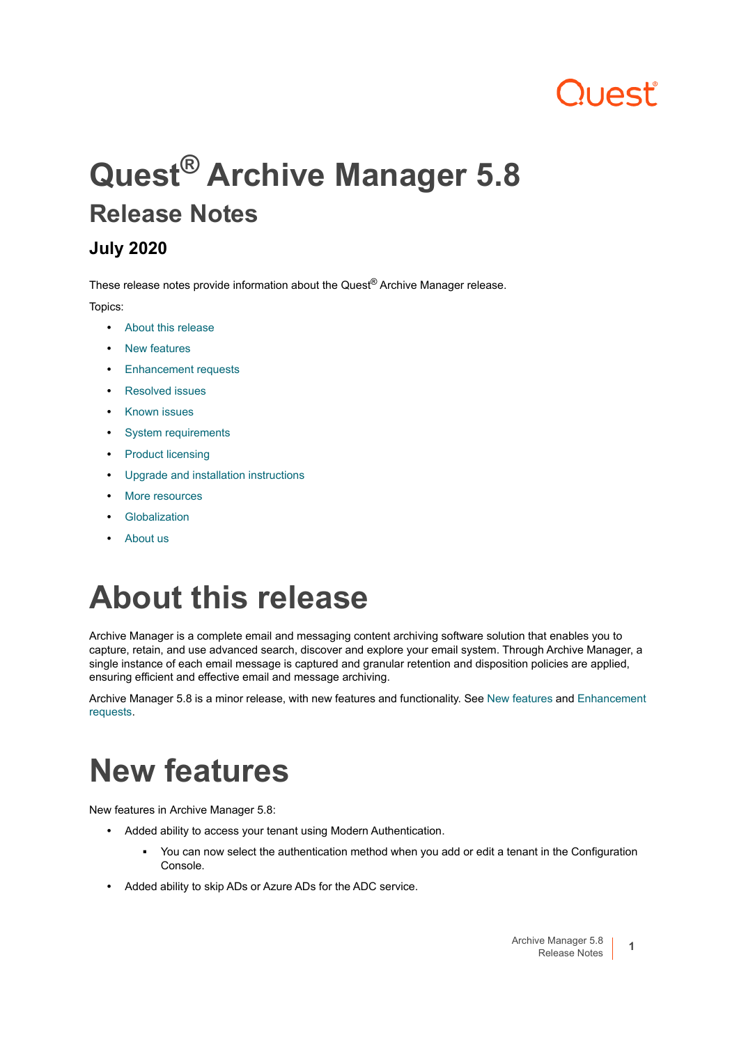# 11055

# **Quest® Archive Manager 5.8 Release Notes**

### **July 2020**

These release notes provide information about the Quest® Archive Manager release.

Topics:

- **•** [About this release](#page-0-0)
- **•** [New features](#page-0-1)
- **•** [Enhancement requests](#page-1-0)
- **•** [Resolved issues](#page-2-1)
- **•** [Known issues](#page-2-0)
- **•** [System requirements](#page-3-0)
- **•** [Product licensing](#page-11-0)
- **•** [Upgrade and installation instructions](#page-12-0)
- **•** [More resources](#page-12-1)
- **•** [Globalization](#page-12-2)
- **•** [About us](#page-12-3)

# <span id="page-0-0"></span>**About this release**

Archive Manager is a complete email and messaging content archiving software solution that enables you to capture, retain, and use advanced search, discover and explore your email system. Through Archive Manager, a single instance of each email message is captured and granular retention and disposition policies are applied, ensuring efficient and effective email and message archiving.

Archive Manager 5.8 is a minor release, with new features and functionality. See [New features](#page-0-1) and [Enhancement](#page-1-0)  [requests](#page-1-0).

# <span id="page-0-1"></span>**New features**

New features in Archive Manager 5.8:

- **•** Added ability to access your tenant using Modern Authentication.
	- **▪** You can now select the authentication method when you add or edit a tenant in the Configuration Console.
- **•** Added ability to skip ADs or Azure ADs for the ADC service.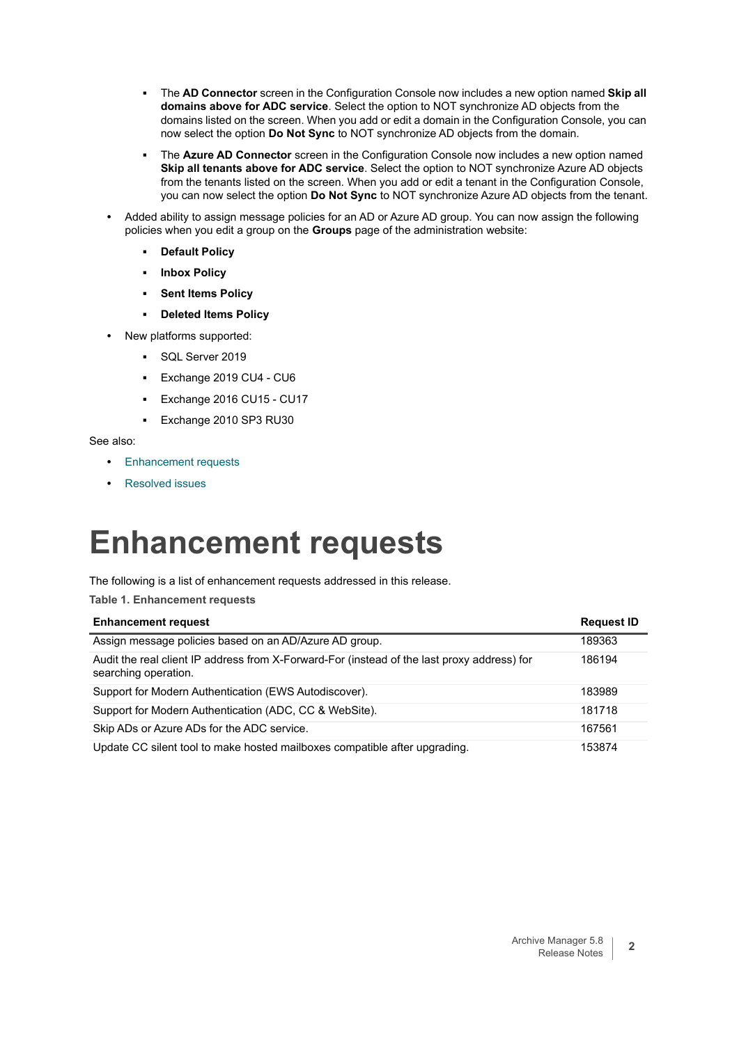- **▪** The **AD Connector** screen in the Configuration Console now includes a new option named **Skip all domains above for ADC service**. Select the option to NOT synchronize AD objects from the domains listed on the screen. When you add or edit a domain in the Configuration Console, you can now select the option **Do Not Sync** to NOT synchronize AD objects from the domain.
- **▪** The **Azure AD Connector** screen in the Configuration Console now includes a new option named **Skip all tenants above for ADC service**. Select the option to NOT synchronize Azure AD objects from the tenants listed on the screen. When you add or edit a tenant in the Configuration Console, you can now select the option **Do Not Sync** to NOT synchronize Azure AD objects from the tenant.
- **•** Added ability to assign message policies for an AD or Azure AD group. You can now assign the following policies when you edit a group on the **Groups** page of the administration website:
	- **Default Policy**
	- **Inbox Policy**
	- **Sent Items Policy**
	- **Deleted Items Policy**
- **•** New platforms supported:
	- **▪** SQL Server 2019
	- **▪** Exchange 2019 CU4 CU6
	- **▪** Exchange 2016 CU15 CU17
	- **▪** Exchange 2010 SP3 RU30

See also:

- **•** [Enhancement requests](#page-1-0)
- **•** [Resolved issues](#page-2-1)

### <span id="page-1-0"></span>**Enhancement requests**

The following is a list of enhancement requests addressed in this release.

**Table 1. Enhancement requests**

| <b>Enhancement request</b>                                                                                          | <b>Request ID</b> |
|---------------------------------------------------------------------------------------------------------------------|-------------------|
| Assign message policies based on an AD/Azure AD group.                                                              | 189363            |
| Audit the real client IP address from X-Forward-For (instead of the last proxy address) for<br>searching operation. | 186194            |
| Support for Modern Authentication (EWS Autodiscover).                                                               | 183989            |
| Support for Modern Authentication (ADC, CC & WebSite).                                                              | 181718            |
| Skip ADs or Azure ADs for the ADC service.                                                                          | 167561            |
| Update CC silent tool to make hosted mailboxes compatible after upgrading.                                          | 153874            |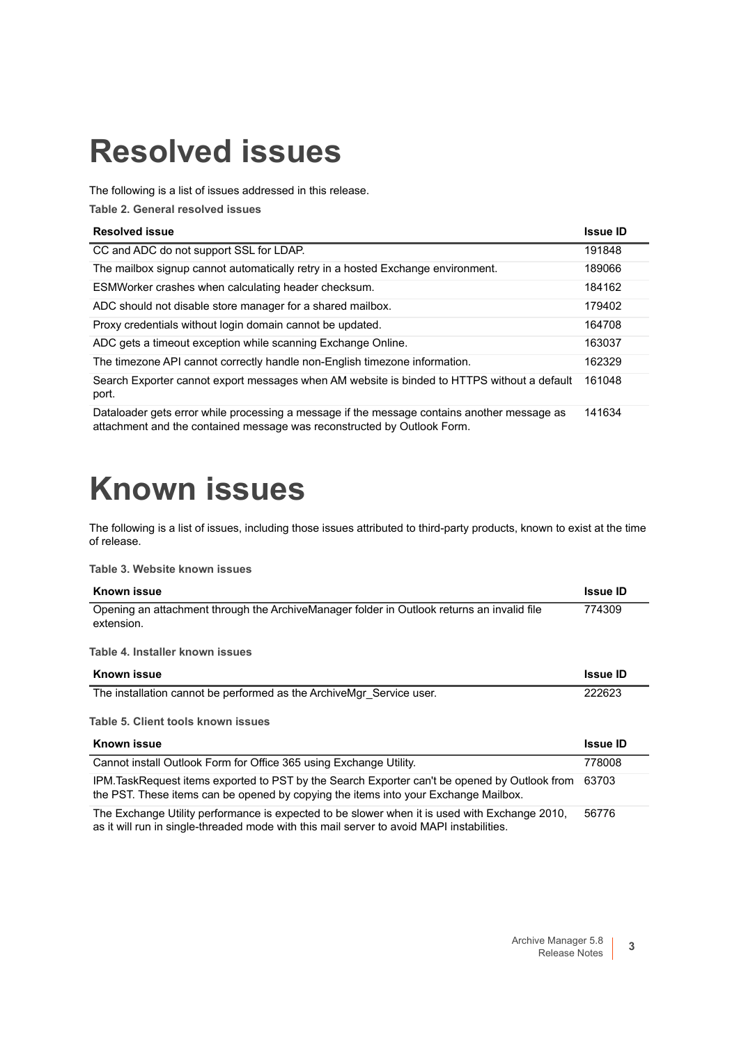# <span id="page-2-1"></span>**Resolved issues**

The following is a list of issues addressed in this release.

**Table 2. General resolved issues**

### **Resolved issue Issue ID**

| CC and ADC do not support SSL for LDAP.                                                              | 191848 |
|------------------------------------------------------------------------------------------------------|--------|
| The mailbox signup cannot automatically retry in a hosted Exchange environment.                      | 189066 |
| ESMWorker crashes when calculating header checksum.                                                  | 184162 |
| ADC should not disable store manager for a shared mailbox.                                           | 179402 |
| Proxy credentials without login domain cannot be updated.                                            | 164708 |
| ADC gets a timeout exception while scanning Exchange Online.                                         | 163037 |
| The timezone API cannot correctly handle non-English timezone information.                           | 162329 |
| Search Exporter cannot export messages when AM website is binded to HTTPS without a default<br>port. | 161048 |
| Dataloader gets error while processing a message if the message contains another message as          | 141634 |

attachment and the contained message was reconstructed by Outlook Form.

## <span id="page-2-0"></span>**Known issues**

The following is a list of issues, including those issues attributed to third-party products, known to exist at the time of release.

**Table 3. Website known issues**

| <b>Known issue</b>                                                                                                                                                                  | <b>Issue ID</b> |
|-------------------------------------------------------------------------------------------------------------------------------------------------------------------------------------|-----------------|
| Opening an attachment through the ArchiveManager folder in Outlook returns an invalid file<br>extension.                                                                            | 774309          |
| Table 4. Installer known issues                                                                                                                                                     |                 |
| Known issue                                                                                                                                                                         | <b>Issue ID</b> |
| The installation cannot be performed as the ArchiveMgr Service user.                                                                                                                | 222623          |
| Table 5. Client tools known issues                                                                                                                                                  |                 |
| Known issue                                                                                                                                                                         | <b>Issue ID</b> |
| Cannot install Outlook Form for Office 365 using Exchange Utility.                                                                                                                  | 778008          |
| IPM.TaskRequest items exported to PST by the Search Exporter can't be opened by Outlook from<br>the PST. These items can be opened by copying the items into your Exchange Mailbox. | 63703           |
| The Exchange Utility performance is expected to be slower when it is used with Exchange 2010,                                                                                       | 56776           |

as it will run in single-threaded mode with this mail server to avoid MAPI instabilities.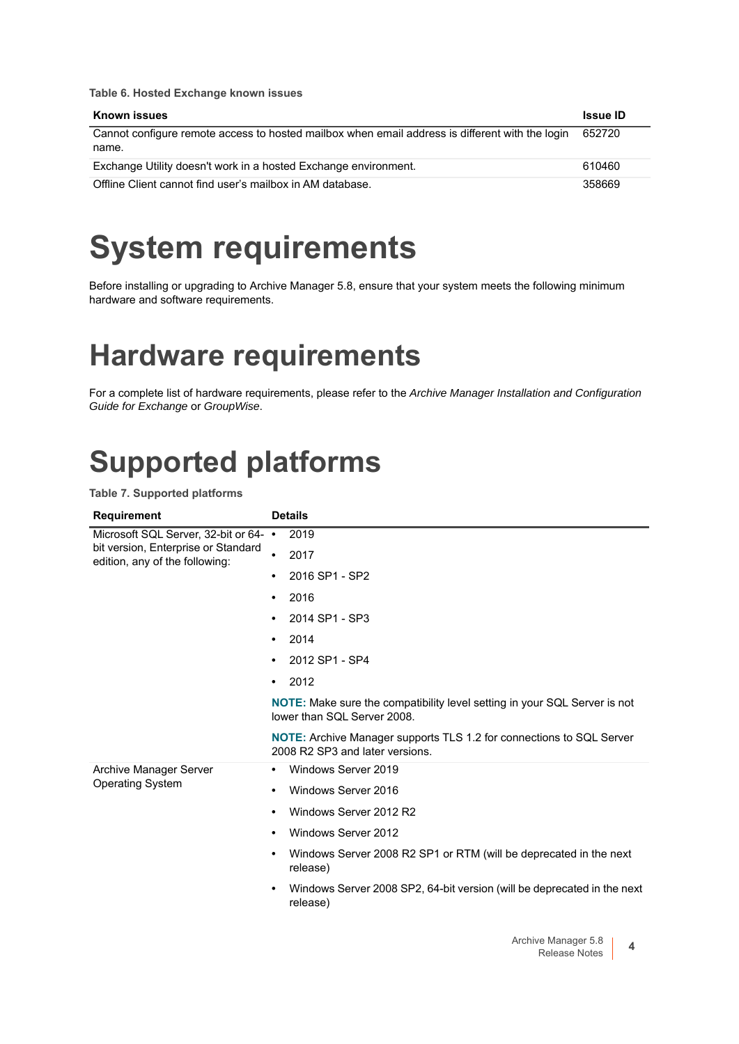**Table 6. Hosted Exchange known issues**

| Known issues                                                                                             | <b>Issue ID</b> |
|----------------------------------------------------------------------------------------------------------|-----------------|
| Cannot configure remote access to hosted mailbox when email address is different with the login<br>name. | 652720          |
| Exchange Utility doesn't work in a hosted Exchange environment.                                          | 610460          |
| Offline Client cannot find user's mailbox in AM database.                                                | 358669          |

## <span id="page-3-0"></span>**System requirements**

Before installing or upgrading to Archive Manager 5.8, ensure that your system meets the following minimum hardware and software requirements.

### **Hardware requirements**

For a complete list of hardware requirements, please refer to the *Archive Manager Installation and Configuration Guide for Exchange* or *GroupWise*.

### **Supported platforms**

**Table 7. Supported platforms**

| <b>Requirement</b>                                                                                             | <b>Details</b> |                                                                                                                 |
|----------------------------------------------------------------------------------------------------------------|----------------|-----------------------------------------------------------------------------------------------------------------|
| Microsoft SQL Server, 32-bit or 64- •<br>bit version, Enterprise or Standard<br>edition, any of the following: |                | 2019                                                                                                            |
|                                                                                                                | $\bullet$      | 2017                                                                                                            |
|                                                                                                                | ٠              | 2016 SP1 - SP2                                                                                                  |
|                                                                                                                | $\bullet$      | 2016                                                                                                            |
|                                                                                                                | $\bullet$      | 2014 SP1 - SP3                                                                                                  |
|                                                                                                                | ٠              | 2014                                                                                                            |
|                                                                                                                | ٠              | 2012 SP1 - SP4                                                                                                  |
|                                                                                                                | $\bullet$      | 2012                                                                                                            |
|                                                                                                                |                | <b>NOTE:</b> Make sure the compatibility level setting in your SQL Server is not<br>lower than SQL Server 2008. |
|                                                                                                                |                | <b>NOTE:</b> Archive Manager supports TLS 1.2 for connections to SQL Server<br>2008 R2 SP3 and later versions.  |
| Archive Manager Server                                                                                         | ٠              | Windows Server 2019                                                                                             |
| <b>Operating System</b>                                                                                        | ٠              | Windows Server 2016                                                                                             |
|                                                                                                                | $\bullet$      | Windows Server 2012 R2                                                                                          |
|                                                                                                                | ٠              | Windows Server 2012                                                                                             |
|                                                                                                                | $\bullet$      | Windows Server 2008 R2 SP1 or RTM (will be deprecated in the next<br>release)                                   |
|                                                                                                                | $\bullet$      | Windows Server 2008 SP2, 64-bit version (will be deprecated in the next<br>release)                             |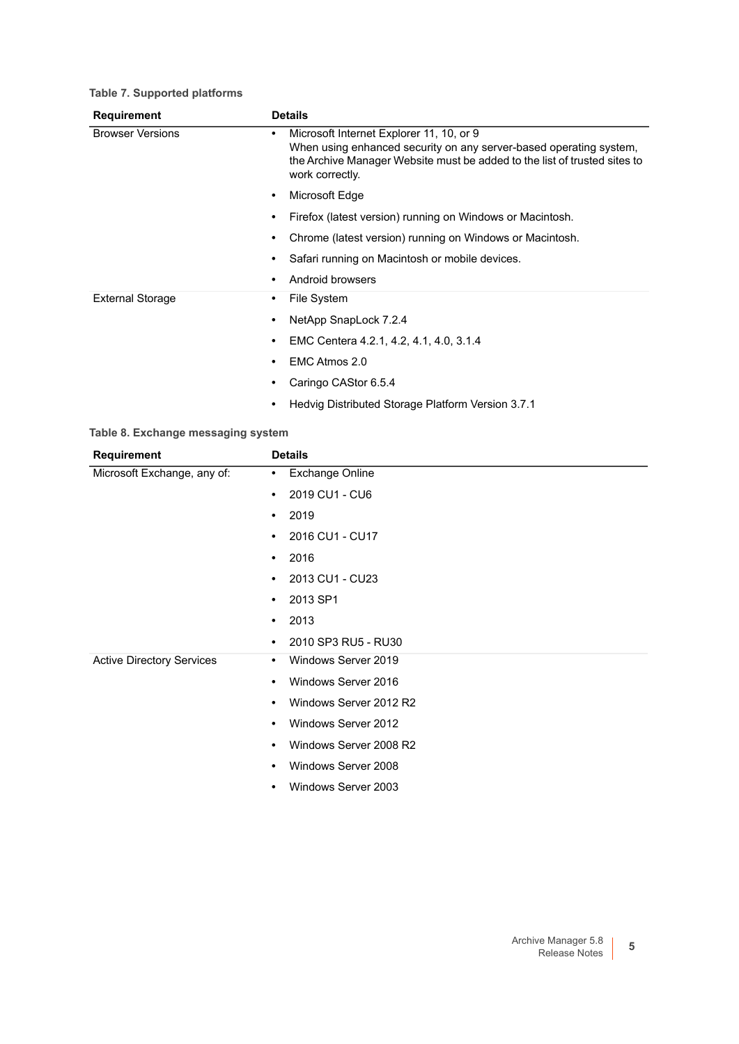### **Table 7. Supported platforms**

| <b>Requirement</b>      | <b>Details</b>                                                                                                                                                                                                      |  |
|-------------------------|---------------------------------------------------------------------------------------------------------------------------------------------------------------------------------------------------------------------|--|
| <b>Browser Versions</b> | Microsoft Internet Explorer 11, 10, or 9<br>٠<br>When using enhanced security on any server-based operating system,<br>the Archive Manager Website must be added to the list of trusted sites to<br>work correctly. |  |
|                         | Microsoft Edge<br>$\bullet$                                                                                                                                                                                         |  |
|                         | Firefox (latest version) running on Windows or Macintosh.<br>٠                                                                                                                                                      |  |
|                         | Chrome (latest version) running on Windows or Macintosh.<br>٠                                                                                                                                                       |  |
|                         | Safari running on Macintosh or mobile devices.<br>٠                                                                                                                                                                 |  |
|                         | Android browsers<br>٠                                                                                                                                                                                               |  |
| <b>External Storage</b> | File System<br>٠                                                                                                                                                                                                    |  |
|                         | NetApp SnapLock 7.2.4<br>٠                                                                                                                                                                                          |  |
|                         | EMC Centera 4.2.1, 4.2, 4.1, 4.0, 3.1.4<br>٠                                                                                                                                                                        |  |
|                         | EMC Atmos 2.0<br>٠                                                                                                                                                                                                  |  |
|                         | Caringo CAStor 6.5.4                                                                                                                                                                                                |  |
|                         | Hedvig Distributed Storage Platform Version 3.7.1<br>٠                                                                                                                                                              |  |

#### **Table 8. Exchange messaging system**

| <b>Requirement</b>               | <b>Details</b>                      |
|----------------------------------|-------------------------------------|
| Microsoft Exchange, any of:      | <b>Exchange Online</b><br>$\bullet$ |
|                                  | 2019 CU1 - CU6<br>$\bullet$         |
|                                  | 2019<br>$\bullet$                   |
|                                  | 2016 CU1 - CU17<br>$\bullet$        |
|                                  | 2016<br>$\bullet$                   |
|                                  | 2013 CU1 - CU23<br>$\bullet$        |
|                                  | 2013 SP1<br>$\bullet$               |
|                                  | 2013<br>$\bullet$                   |
|                                  | 2010 SP3 RU5 - RU30<br>$\bullet$    |
| <b>Active Directory Services</b> | Windows Server 2019<br>$\bullet$    |
|                                  | Windows Server 2016<br>$\bullet$    |
|                                  | Windows Server 2012 R2<br>$\bullet$ |
|                                  | Windows Server 2012<br>$\bullet$    |
|                                  | Windows Server 2008 R2<br>$\bullet$ |
|                                  | Windows Server 2008<br>$\bullet$    |
|                                  | Windows Server 2003<br>$\bullet$    |
|                                  |                                     |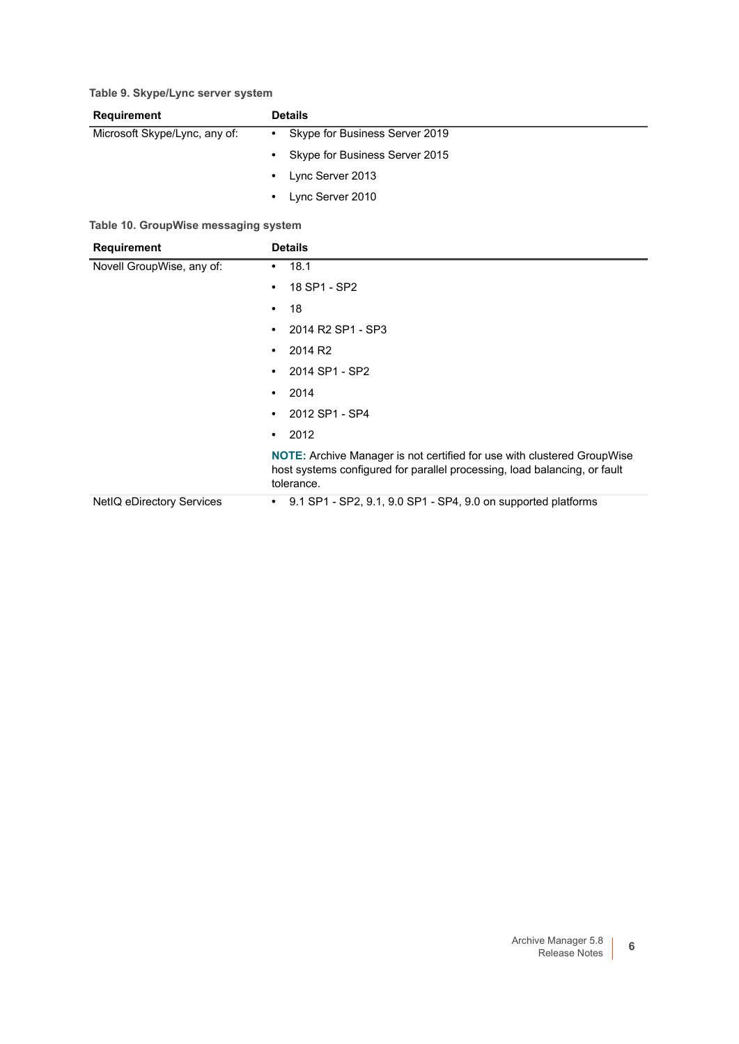### **Table 9. Skype/Lync server system**

| <b>Requirement</b>            | <b>Details</b> |                                |
|-------------------------------|----------------|--------------------------------|
| Microsoft Skype/Lync, any of: | $\bullet$      | Skype for Business Server 2019 |
|                               | $\bullet$      | Skype for Business Server 2015 |
|                               | $\bullet$      | Lync Server 2013               |
|                               | $\bullet$      | Lync Server 2010               |

### **Table 10. GroupWise messaging system**

| <b>Requirement</b>        | <b>Details</b>                                                                                                                                                            |  |
|---------------------------|---------------------------------------------------------------------------------------------------------------------------------------------------------------------------|--|
| Novell GroupWise, any of: | 18.1<br>٠                                                                                                                                                                 |  |
|                           | 18 SP1 - SP2<br>$\bullet$                                                                                                                                                 |  |
|                           | 18<br>$\bullet$                                                                                                                                                           |  |
|                           | 2014 R2 SP1 - SP3<br>$\bullet$                                                                                                                                            |  |
|                           | 2014 R <sub>2</sub><br>$\bullet$                                                                                                                                          |  |
|                           | 2014 SP1 - SP2<br>$\bullet$                                                                                                                                               |  |
|                           | 2014<br>$\bullet$                                                                                                                                                         |  |
|                           | 2012 SP1 - SP4<br>$\bullet$                                                                                                                                               |  |
|                           | 2012<br>$\bullet$                                                                                                                                                         |  |
|                           | <b>NOTE:</b> Archive Manager is not certified for use with clustered GroupWise<br>host systems configured for parallel processing, load balancing, or fault<br>tolerance. |  |
| NetIQ eDirectory Services | 9.1 SP1 - SP2, 9.1, 9.0 SP1 - SP4, 9.0 on supported platforms<br>$\bullet$                                                                                                |  |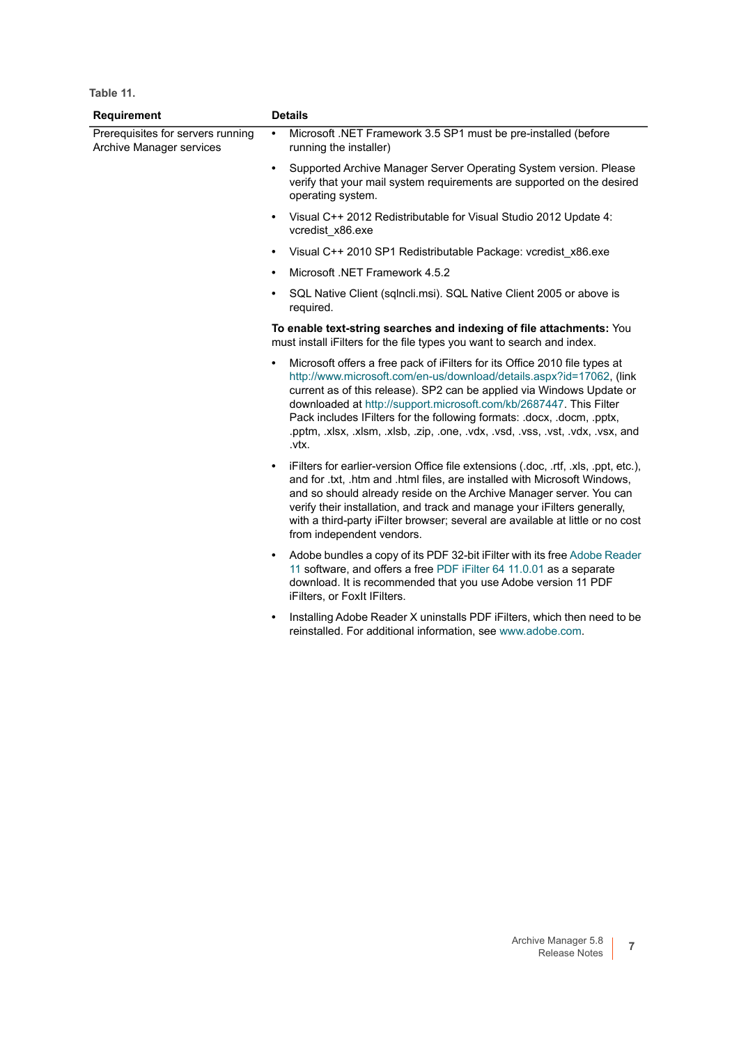| Requirement                                                   | <b>Details</b>                                                                                                                                                                                                                                                                                                                                                                                                                                                                       |  |
|---------------------------------------------------------------|--------------------------------------------------------------------------------------------------------------------------------------------------------------------------------------------------------------------------------------------------------------------------------------------------------------------------------------------------------------------------------------------------------------------------------------------------------------------------------------|--|
| Prerequisites for servers running<br>Archive Manager services | Microsoft .NET Framework 3.5 SP1 must be pre-installed (before<br>$\bullet$<br>running the installer)                                                                                                                                                                                                                                                                                                                                                                                |  |
|                                                               | Supported Archive Manager Server Operating System version. Please<br>$\bullet$<br>verify that your mail system requirements are supported on the desired<br>operating system.                                                                                                                                                                                                                                                                                                        |  |
|                                                               | Visual C++ 2012 Redistributable for Visual Studio 2012 Update 4:<br>$\bullet$<br>vcredist x86.exe                                                                                                                                                                                                                                                                                                                                                                                    |  |
|                                                               | Visual C++ 2010 SP1 Redistributable Package: vcredist x86.exe                                                                                                                                                                                                                                                                                                                                                                                                                        |  |
|                                                               | Microsoft .NET Framework 4.5.2                                                                                                                                                                                                                                                                                                                                                                                                                                                       |  |
|                                                               | SQL Native Client (sqlncli.msi). SQL Native Client 2005 or above is<br>٠<br>required.                                                                                                                                                                                                                                                                                                                                                                                                |  |
|                                                               | To enable text-string searches and indexing of file attachments: You<br>must install iFilters for the file types you want to search and index.                                                                                                                                                                                                                                                                                                                                       |  |
|                                                               | Microsoft offers a free pack of iFilters for its Office 2010 file types at<br>$\bullet$<br>http://www.microsoft.com/en-us/download/details.aspx?id=17062, (link<br>current as of this release). SP2 can be applied via Windows Update or<br>downloaded at http://support.microsoft.com/kb/2687447. This Filter<br>Pack includes IFilters for the following formats: .docx, .docm, .pptx,<br>.pptm, .xlsx, .xlsm, .xlsb, .zip, .one, .vdx, .vsd, .vss, .vst, .vdx, .vsx, and<br>.vtx. |  |
|                                                               | iFilters for earlier-version Office file extensions (.doc, .rtf, .xls, .ppt, etc.),<br>$\bullet$<br>and for .txt, .htm and .html files, are installed with Microsoft Windows,<br>and so should already reside on the Archive Manager server. You can<br>verify their installation, and track and manage your iFilters generally,<br>with a third-party iFilter browser; several are available at little or no cost<br>from independent vendors.                                      |  |
|                                                               | Adobe bundles a copy of its PDF 32-bit iFilter with its free Adobe Reader<br>$\bullet$<br>11 software, and offers a free PDF iFilter 64 11.0.01 as a separate<br>download. It is recommended that you use Adobe version 11 PDF<br>iFilters, or FoxIt IFilters.                                                                                                                                                                                                                       |  |
|                                                               | Installing Adobe Reader X uninstalls PDF iFilters, which then need to be<br>reinstalled. For additional information, see www.adobe.com.                                                                                                                                                                                                                                                                                                                                              |  |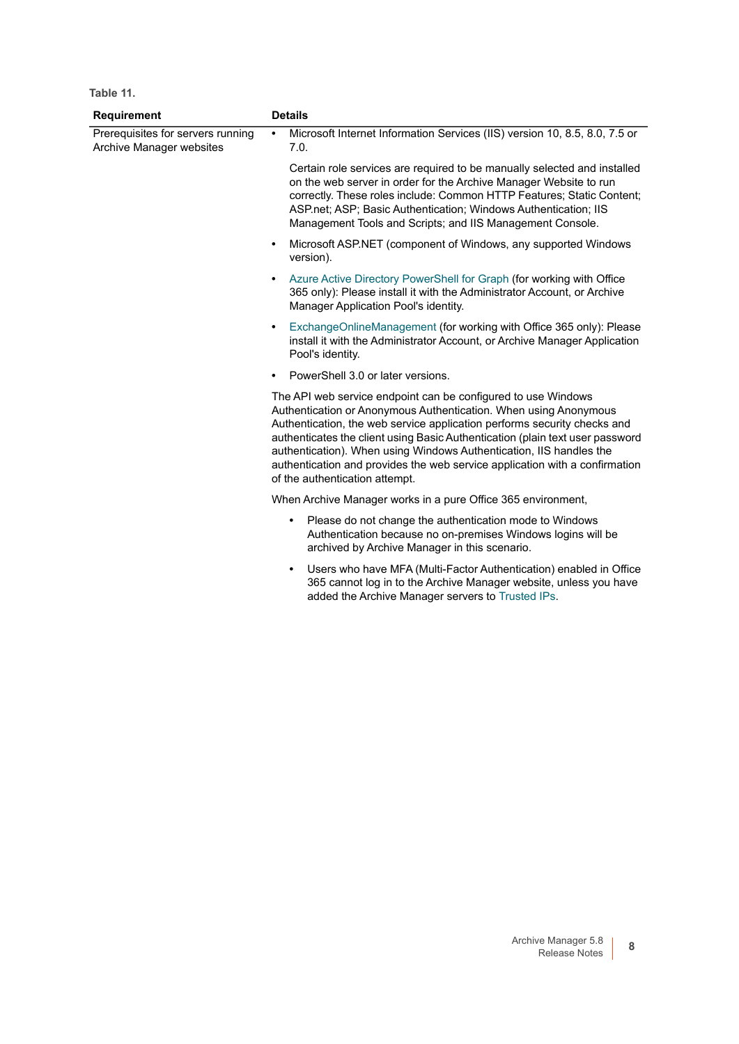| <b>Requirement</b>                                            | <b>Details</b>                                                                                                                                                                                                                                                                                                                                                                                                                                                                         |                                                                                                                                                                                                                                                                                                                                                        |
|---------------------------------------------------------------|----------------------------------------------------------------------------------------------------------------------------------------------------------------------------------------------------------------------------------------------------------------------------------------------------------------------------------------------------------------------------------------------------------------------------------------------------------------------------------------|--------------------------------------------------------------------------------------------------------------------------------------------------------------------------------------------------------------------------------------------------------------------------------------------------------------------------------------------------------|
| Prerequisites for servers running<br>Archive Manager websites | $\bullet$                                                                                                                                                                                                                                                                                                                                                                                                                                                                              | Microsoft Internet Information Services (IIS) version 10, 8.5, 8.0, 7.5 or<br>7.0.                                                                                                                                                                                                                                                                     |
|                                                               |                                                                                                                                                                                                                                                                                                                                                                                                                                                                                        | Certain role services are required to be manually selected and installed<br>on the web server in order for the Archive Manager Website to run<br>correctly. These roles include: Common HTTP Features; Static Content;<br>ASP.net; ASP; Basic Authentication; Windows Authentication; IIS<br>Management Tools and Scripts; and IIS Management Console. |
|                                                               | $\bullet$                                                                                                                                                                                                                                                                                                                                                                                                                                                                              | Microsoft ASP.NET (component of Windows, any supported Windows<br>version).                                                                                                                                                                                                                                                                            |
|                                                               |                                                                                                                                                                                                                                                                                                                                                                                                                                                                                        | Azure Active Directory PowerShell for Graph (for working with Office<br>365 only): Please install it with the Administrator Account, or Archive<br>Manager Application Pool's identity.                                                                                                                                                                |
|                                                               | $\bullet$                                                                                                                                                                                                                                                                                                                                                                                                                                                                              | ExchangeOnlineManagement (for working with Office 365 only): Please<br>install it with the Administrator Account, or Archive Manager Application<br>Pool's identity.                                                                                                                                                                                   |
|                                                               |                                                                                                                                                                                                                                                                                                                                                                                                                                                                                        | PowerShell 3.0 or later versions.                                                                                                                                                                                                                                                                                                                      |
|                                                               | The API web service endpoint can be configured to use Windows<br>Authentication or Anonymous Authentication. When using Anonymous<br>Authentication, the web service application performs security checks and<br>authenticates the client using Basic Authentication (plain text user password<br>authentication). When using Windows Authentication, IIS handles the<br>authentication and provides the web service application with a confirmation<br>of the authentication attempt. |                                                                                                                                                                                                                                                                                                                                                        |
|                                                               |                                                                                                                                                                                                                                                                                                                                                                                                                                                                                        | When Archive Manager works in a pure Office 365 environment,                                                                                                                                                                                                                                                                                           |
|                                                               |                                                                                                                                                                                                                                                                                                                                                                                                                                                                                        | Please do not change the authentication mode to Windows<br>$\bullet$<br>Authentication because no on-premises Windows logins will be<br>archived by Archive Manager in this scenario.                                                                                                                                                                  |
|                                                               |                                                                                                                                                                                                                                                                                                                                                                                                                                                                                        | Users who have MFA (Multi-Factor Authentication) enabled in Office<br>$\bullet$<br>365 cannot log in to the Archive Manager website, unless you have<br>added the Archive Manager servers to Trusted IPs.                                                                                                                                              |
|                                                               |                                                                                                                                                                                                                                                                                                                                                                                                                                                                                        |                                                                                                                                                                                                                                                                                                                                                        |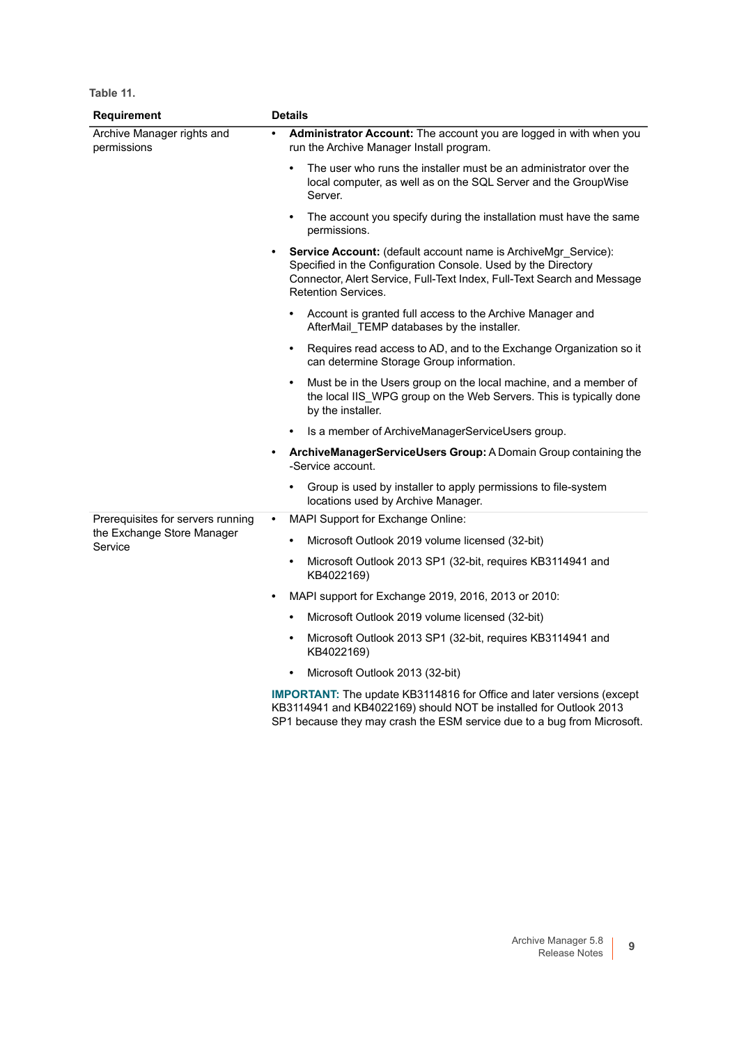| Requirement                                      | <b>Details</b>                                                                                                                                                                                                                                               |  |  |  |
|--------------------------------------------------|--------------------------------------------------------------------------------------------------------------------------------------------------------------------------------------------------------------------------------------------------------------|--|--|--|
| <b>Archive Manager rights and</b><br>permissions | Administrator Account: The account you are logged in with when you<br>run the Archive Manager Install program.                                                                                                                                               |  |  |  |
|                                                  | The user who runs the installer must be an administrator over the<br>local computer, as well as on the SQL Server and the GroupWise<br>Server.                                                                                                               |  |  |  |
|                                                  | The account you specify during the installation must have the same<br>permissions.                                                                                                                                                                           |  |  |  |
|                                                  | <b>Service Account:</b> (default account name is ArchiveMgr Service):<br>$\bullet$<br>Specified in the Configuration Console. Used by the Directory<br>Connector, Alert Service, Full-Text Index, Full-Text Search and Message<br><b>Retention Services.</b> |  |  |  |
|                                                  | Account is granted full access to the Archive Manager and<br>AfterMail TEMP databases by the installer.                                                                                                                                                      |  |  |  |
|                                                  | Requires read access to AD, and to the Exchange Organization so it<br>can determine Storage Group information.                                                                                                                                               |  |  |  |
|                                                  | Must be in the Users group on the local machine, and a member of<br>$\bullet$<br>the local IIS WPG group on the Web Servers. This is typically done<br>by the installer.                                                                                     |  |  |  |
|                                                  | Is a member of ArchiveManagerServiceUsers group.                                                                                                                                                                                                             |  |  |  |
|                                                  | ArchiveManagerServiceUsers Group: A Domain Group containing the<br>$\bullet$<br>-Service account.                                                                                                                                                            |  |  |  |
|                                                  | Group is used by installer to apply permissions to file-system<br>locations used by Archive Manager.                                                                                                                                                         |  |  |  |
| Prerequisites for servers running                | MAPI Support for Exchange Online:<br>$\bullet$                                                                                                                                                                                                               |  |  |  |
| the Exchange Store Manager<br>Service            | Microsoft Outlook 2019 volume licensed (32-bit)<br>$\bullet$                                                                                                                                                                                                 |  |  |  |
|                                                  | Microsoft Outlook 2013 SP1 (32-bit, requires KB3114941 and<br>$\bullet$<br>KB4022169)                                                                                                                                                                        |  |  |  |
|                                                  | MAPI support for Exchange 2019, 2016, 2013 or 2010:<br>$\bullet$                                                                                                                                                                                             |  |  |  |
|                                                  | Microsoft Outlook 2019 volume licensed (32-bit)                                                                                                                                                                                                              |  |  |  |
|                                                  | Microsoft Outlook 2013 SP1 (32-bit, requires KB3114941 and<br>KB4022169)                                                                                                                                                                                     |  |  |  |
|                                                  | Microsoft Outlook 2013 (32-bit)<br>$\bullet$                                                                                                                                                                                                                 |  |  |  |
|                                                  | <b>IMPORTANT:</b> The update KB3114816 for Office and later versions (except<br>KB3114941 and KB4022169) should NOT be installed for Outlook 2013<br>SP1 because they may crash the ESM service due to a bug from Microsoft.                                 |  |  |  |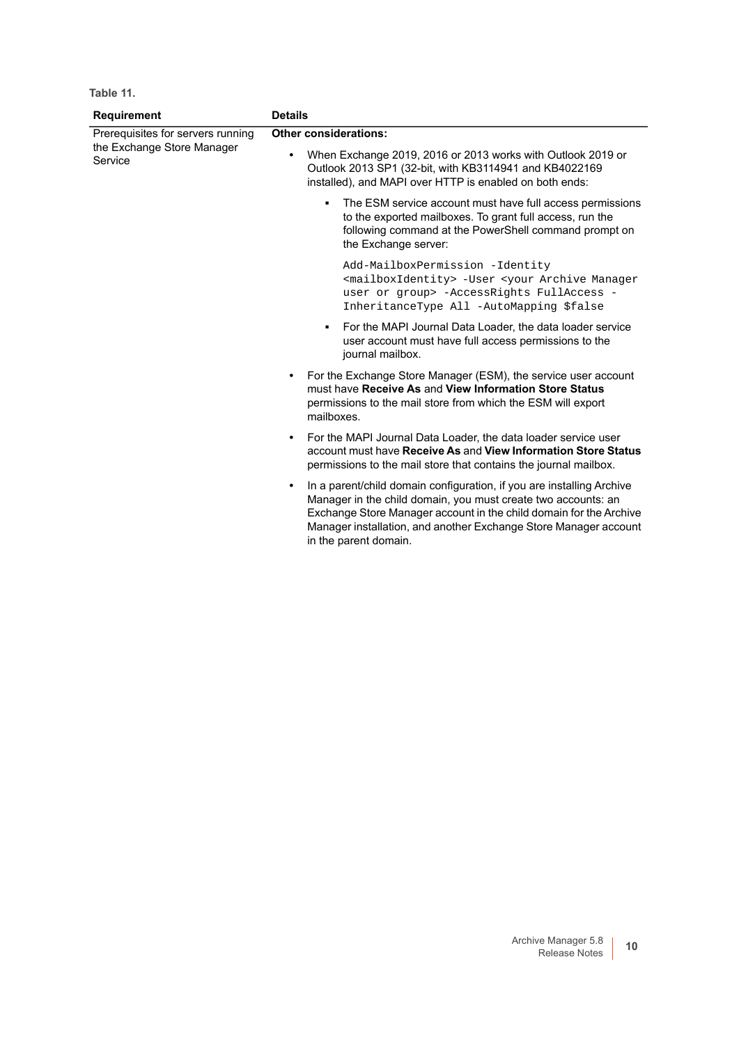| <b>Requirement</b>                                                         | <b>Details</b>                                                                                                                                                                                                                                                                                                         |  |  |
|----------------------------------------------------------------------------|------------------------------------------------------------------------------------------------------------------------------------------------------------------------------------------------------------------------------------------------------------------------------------------------------------------------|--|--|
| Prerequisites for servers running<br>the Exchange Store Manager<br>Service | <b>Other considerations:</b>                                                                                                                                                                                                                                                                                           |  |  |
|                                                                            | When Exchange 2019, 2016 or 2013 works with Outlook 2019 or<br>Outlook 2013 SP1 (32-bit, with KB3114941 and KB4022169<br>installed), and MAPI over HTTP is enabled on both ends:                                                                                                                                       |  |  |
|                                                                            | The ESM service account must have full access permissions<br>to the exported mailboxes. To grant full access, run the<br>following command at the PowerShell command prompt on<br>the Exchange server:                                                                                                                 |  |  |
|                                                                            | Add-MailboxPermission -Identity<br><mailboxidentity> -User <your archive="" manager<br="">user or group&gt; -AccessRights FullAccess -<br/>InheritanceType All -AutoMapping \$false</your></mailboxidentity>                                                                                                           |  |  |
|                                                                            | For the MAPI Journal Data Loader, the data loader service<br>$\blacksquare$<br>user account must have full access permissions to the<br>journal mailbox.                                                                                                                                                               |  |  |
|                                                                            | For the Exchange Store Manager (ESM), the service user account<br>must have Receive As and View Information Store Status<br>permissions to the mail store from which the ESM will export<br>mailboxes.                                                                                                                 |  |  |
|                                                                            | For the MAPI Journal Data Loader, the data loader service user<br>account must have Receive As and View Information Store Status<br>permissions to the mail store that contains the journal mailbox.                                                                                                                   |  |  |
|                                                                            | In a parent/child domain configuration, if you are installing Archive<br>$\bullet$<br>Manager in the child domain, you must create two accounts: an<br>Exchange Store Manager account in the child domain for the Archive<br>Manager installation, and another Exchange Store Manager account<br>in the parent domain. |  |  |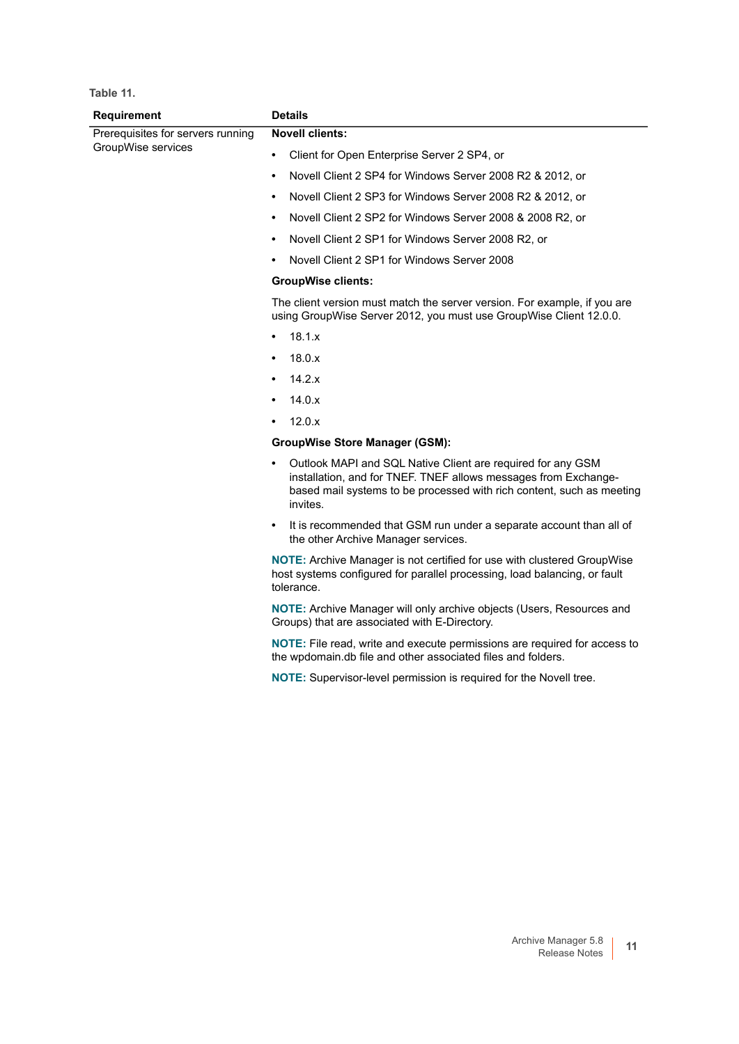| Requirement                       | <b>Details</b>                                                                                                                                                                                                                   |  |
|-----------------------------------|----------------------------------------------------------------------------------------------------------------------------------------------------------------------------------------------------------------------------------|--|
| Prerequisites for servers running | <b>Novell clients:</b>                                                                                                                                                                                                           |  |
| GroupWise services                | Client for Open Enterprise Server 2 SP4, or<br>$\bullet$                                                                                                                                                                         |  |
|                                   | Novell Client 2 SP4 for Windows Server 2008 R2 & 2012, or<br>$\bullet$                                                                                                                                                           |  |
|                                   | Novell Client 2 SP3 for Windows Server 2008 R2 & 2012, or<br>٠                                                                                                                                                                   |  |
|                                   | Novell Client 2 SP2 for Windows Server 2008 & 2008 R2, or<br>$\bullet$                                                                                                                                                           |  |
|                                   | Novell Client 2 SP1 for Windows Server 2008 R2, or<br>$\bullet$                                                                                                                                                                  |  |
|                                   | Novell Client 2 SP1 for Windows Server 2008                                                                                                                                                                                      |  |
|                                   | <b>GroupWise clients:</b>                                                                                                                                                                                                        |  |
|                                   | The client version must match the server version. For example, if you are<br>using GroupWise Server 2012, you must use GroupWise Client 12.0.0.                                                                                  |  |
|                                   | 18.1.x<br>$\bullet$                                                                                                                                                                                                              |  |
|                                   | 18.0.x<br>٠                                                                                                                                                                                                                      |  |
|                                   | 14.2.x<br>$\bullet$                                                                                                                                                                                                              |  |
|                                   | 14.0.x<br>$\bullet$                                                                                                                                                                                                              |  |
|                                   | 12.0.x<br>$\bullet$                                                                                                                                                                                                              |  |
|                                   | <b>GroupWise Store Manager (GSM):</b>                                                                                                                                                                                            |  |
|                                   | Outlook MAPI and SQL Native Client are required for any GSM<br>$\bullet$<br>installation, and for TNEF. TNEF allows messages from Exchange-<br>based mail systems to be processed with rich content, such as meeting<br>invites. |  |
|                                   | It is recommended that GSM run under a separate account than all of<br>$\bullet$<br>the other Archive Manager services.                                                                                                          |  |
|                                   | <b>NOTE:</b> Archive Manager is not certified for use with clustered GroupWise<br>host systems configured for parallel processing, load balancing, or fault<br>tolerance.                                                        |  |
|                                   | NOTE: Archive Manager will only archive objects (Users, Resources and<br>Groups) that are associated with E-Directory.                                                                                                           |  |
|                                   | NOTE: File read, write and execute permissions are required for access to<br>the wpdomain.db file and other associated files and folders.                                                                                        |  |
|                                   | NOTE: Supervisor-level permission is required for the Novell tree.                                                                                                                                                               |  |
|                                   |                                                                                                                                                                                                                                  |  |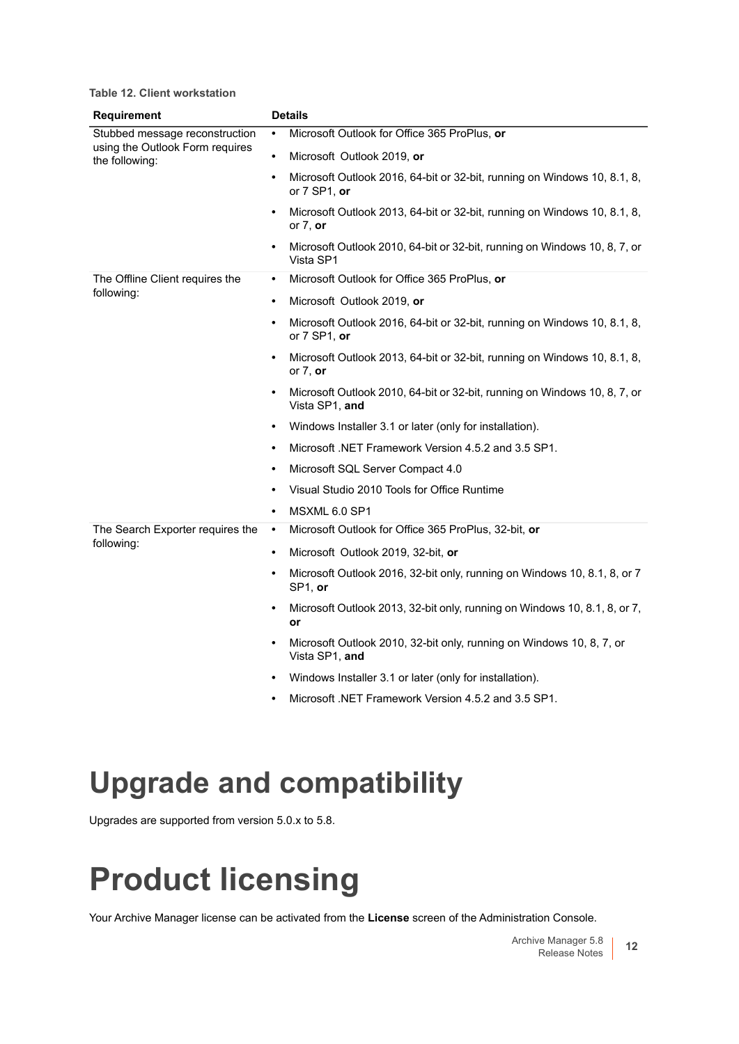**Table 12. Client workstation**

| <b>Requirement</b>                                                                  | <b>Details</b> |                                                                                             |
|-------------------------------------------------------------------------------------|----------------|---------------------------------------------------------------------------------------------|
| Stubbed message reconstruction<br>using the Outlook Form requires<br>the following: | $\bullet$      | Microsoft Outlook for Office 365 ProPlus, or                                                |
|                                                                                     | $\bullet$      | Microsoft Outlook 2019, or                                                                  |
|                                                                                     | $\bullet$      | Microsoft Outlook 2016, 64-bit or 32-bit, running on Windows 10, 8.1, 8,<br>or 7 SP1, or    |
|                                                                                     | $\bullet$      | Microsoft Outlook 2013, 64-bit or 32-bit, running on Windows 10, 8.1, 8,<br>or $7$ , or     |
|                                                                                     | $\bullet$      | Microsoft Outlook 2010, 64-bit or 32-bit, running on Windows 10, 8, 7, or<br>Vista SP1      |
| The Offline Client requires the                                                     | $\bullet$      | Microsoft Outlook for Office 365 ProPlus, or                                                |
| following:                                                                          | $\bullet$      | Microsoft Outlook 2019, or                                                                  |
|                                                                                     | $\bullet$      | Microsoft Outlook 2016, 64-bit or 32-bit, running on Windows 10, 8.1, 8,<br>or 7 SP1, or    |
|                                                                                     | $\bullet$      | Microsoft Outlook 2013, 64-bit or 32-bit, running on Windows 10, 8.1, 8,<br>or $7$ , or     |
|                                                                                     |                | Microsoft Outlook 2010, 64-bit or 32-bit, running on Windows 10, 8, 7, or<br>Vista SP1, and |
|                                                                                     | $\bullet$      | Windows Installer 3.1 or later (only for installation).                                     |
|                                                                                     |                | Microsoft .NET Framework Version 4.5.2 and 3.5 SP1.                                         |
|                                                                                     | $\bullet$      | Microsoft SQL Server Compact 4.0                                                            |
|                                                                                     | $\bullet$      | Visual Studio 2010 Tools for Office Runtime                                                 |
|                                                                                     | $\bullet$      | MSXML 6.0 SP1                                                                               |
| The Search Exporter requires the<br>following:                                      | $\bullet$      | Microsoft Outlook for Office 365 ProPlus, 32-bit, or                                        |
|                                                                                     | $\bullet$      | Microsoft Outlook 2019, 32-bit, or                                                          |
|                                                                                     | $\bullet$      | Microsoft Outlook 2016, 32-bit only, running on Windows 10, 8.1, 8, or 7<br>SP1, or         |
|                                                                                     | $\bullet$      | Microsoft Outlook 2013, 32-bit only, running on Windows 10, 8.1, 8, or 7,<br>or             |
|                                                                                     | $\bullet$      | Microsoft Outlook 2010, 32-bit only, running on Windows 10, 8, 7, or<br>Vista SP1, and      |
|                                                                                     |                | Windows Installer 3.1 or later (only for installation).                                     |
|                                                                                     | $\bullet$      | Microsoft .NET Framework Version 4.5.2 and 3.5 SP1.                                         |

### **Upgrade and compatibility**

Upgrades are supported from version 5.0.x to 5.8.

# <span id="page-11-0"></span>**Product licensing**

Your Archive Manager license can be activated from the **License** screen of the Administration Console.

Archive Manager 5.8 ve Manager 5.8 **12**<br>Release Notes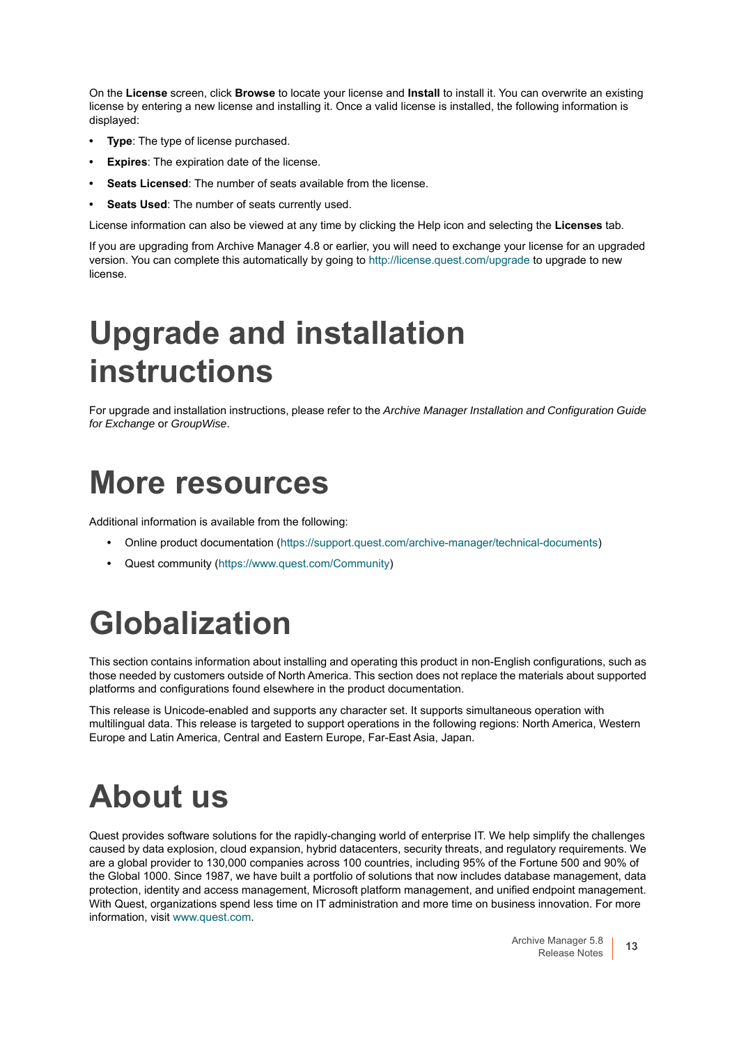On the **License** screen, click **Browse** to locate your license and **Install** to install it. You can overwrite an existing license by entering a new license and installing it. Once a valid license is installed, the following information is displayed:

- **Type**: The type of license purchased.
- **Expires**: The expiration date of the license.
- **Seats Licensed**: The number of seats available from the license.
- **Seats Used**: The number of seats currently used.

License information can also be viewed at any time by clicking the Help icon and selecting the **Licenses** tab.

If you are upgrading from Archive Manager 4.8 or earlier, you will need to exchange your license for an upgraded version. You can complete this automatically by going to<http://license.quest.com/upgrade> to upgrade to new license.

# <span id="page-12-0"></span>**Upgrade and installation instructions**

For upgrade and installation instructions, please refer to the *Archive Manager Installation and Configuration Guide for Exchange* or *GroupWise*.

### <span id="page-12-1"></span>**More resources**

Additional information is available from the following:

- **•** Online product documentation [\(https://support.quest.com/archive-manager/technical-documents\)](https://support.quest.com/archive-manager/technical-documents)
- **•** Quest community [\(https://www.quest.com/Community](https://www.quest.com/Community))

# <span id="page-12-2"></span>**Globalization**

This section contains information about installing and operating this product in non-English configurations, such as those needed by customers outside of North America. This section does not replace the materials about supported platforms and configurations found elsewhere in the product documentation.

This release is Unicode-enabled and supports any character set. It supports simultaneous operation with multilingual data. This release is targeted to support operations in the following regions: North America, Western Europe and Latin America, Central and Eastern Europe, Far-East Asia, Japan.

### <span id="page-12-3"></span>**About us**

Quest provides software solutions for the rapidly-changing world of enterprise IT. We help simplify the challenges caused by data explosion, cloud expansion, hybrid datacenters, security threats, and regulatory requirements. We are a global provider to 130,000 companies across 100 countries, including 95% of the Fortune 500 and 90% of the Global 1000. Since 1987, we have built a portfolio of solutions that now includes database management, data protection, identity and access management, Microsoft platform management, and unified endpoint management. With Quest, organizations spend less time on IT administration and more time on business innovation. For more information, visit [www.quest.com](https://www.quest.com/company/contact-us.aspx).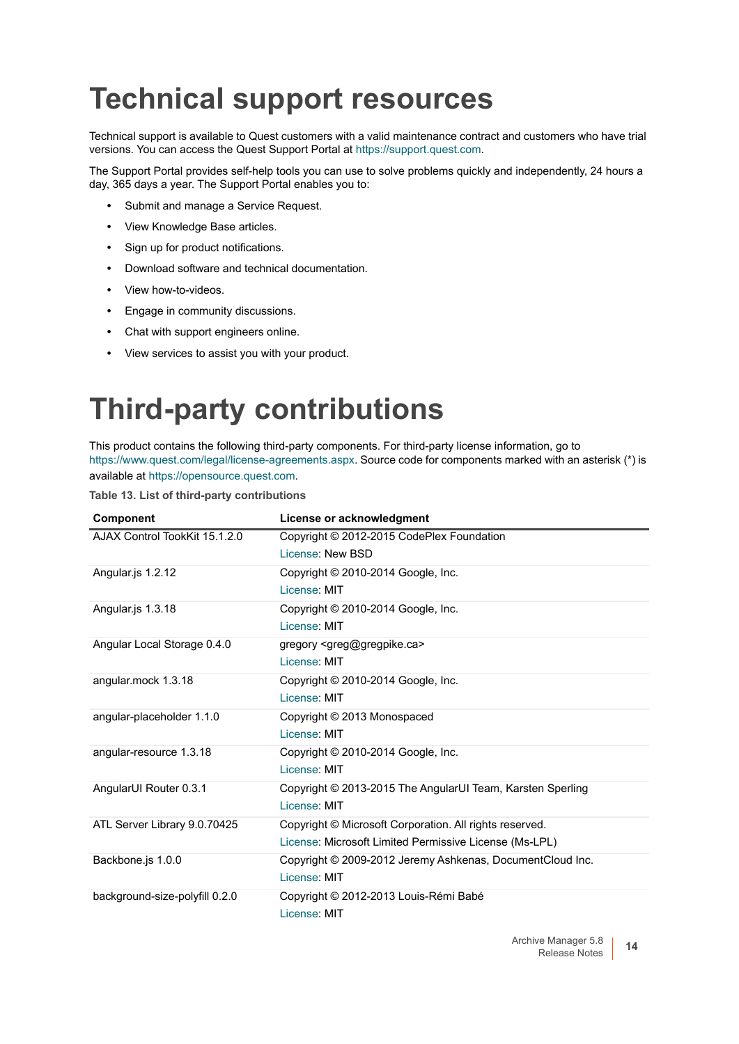### **Technical support resources**

Technical support is available to Quest customers with a valid maintenance contract and customers who have trial versions. You can access the Quest Support Portal at [https://support.quest.com.](https://support.quest.com)

The Support Portal provides self-help tools you can use to solve problems quickly and independently, 24 hours a day, 365 days a year. The Support Portal enables you to:

- **•** Submit and manage a Service Request.
- **•** View Knowledge Base articles.
- **•** Sign up for product notifications.
- **•** Download software and technical documentation.
- **•** View how-to-videos.
- **•** Engage in community discussions.
- **•** Chat with support engineers online.
- **•** View services to assist you with your product.

### **Third-party contributions**

This product contains the following third-party components. For third-party license information, go to [https://www.quest.com/legal/license-agreements.aspx.](https://www.quest.com/legal/license-agreements.aspx) Source code for components marked with an asterisk (\*) is available at [https://opensource.quest.com.](https://opensource.quest.com)

|  |  |  |  | Table 13. List of third-party contributions |
|--|--|--|--|---------------------------------------------|
|--|--|--|--|---------------------------------------------|

| <b>Component</b>               | License or acknowledgment                                  |
|--------------------------------|------------------------------------------------------------|
| AJAX Control TookKit 15.1.2.0  | Copyright © 2012-2015 CodePlex Foundation                  |
|                                | License: New BSD                                           |
| Angular.js 1.2.12              | Copyright © 2010-2014 Google, Inc.                         |
|                                | License: MIT                                               |
| Angular.js 1.3.18              | Copyright © 2010-2014 Google, Inc.                         |
|                                | License: MIT                                               |
| Angular Local Storage 0.4.0    | gregory <greg@gregpike.ca></greg@gregpike.ca>              |
|                                | License: MIT                                               |
| angular.mock 1.3.18            | Copyright © 2010-2014 Google, Inc.                         |
|                                | License: MIT                                               |
| angular-placeholder 1.1.0      | Copyright © 2013 Monospaced                                |
|                                | License: MIT                                               |
| angular-resource 1.3.18        | Copyright © 2010-2014 Google, Inc.                         |
|                                | License: MIT                                               |
| AngularUI Router 0.3.1         | Copyright © 2013-2015 The AngularUI Team, Karsten Sperling |
|                                | License: MIT                                               |
| ATL Server Library 9.0.70425   | Copyright © Microsoft Corporation. All rights reserved.    |
|                                | License: Microsoft Limited Permissive License (Ms-LPL)     |
| Backbone.js 1.0.0              | Copyright © 2009-2012 Jeremy Ashkenas, DocumentCloud Inc.  |
|                                | License: MIT                                               |
| background-size-polyfill 0.2.0 | Copyright © 2012-2013 Louis-Rémi Babé                      |
|                                | License: MIT                                               |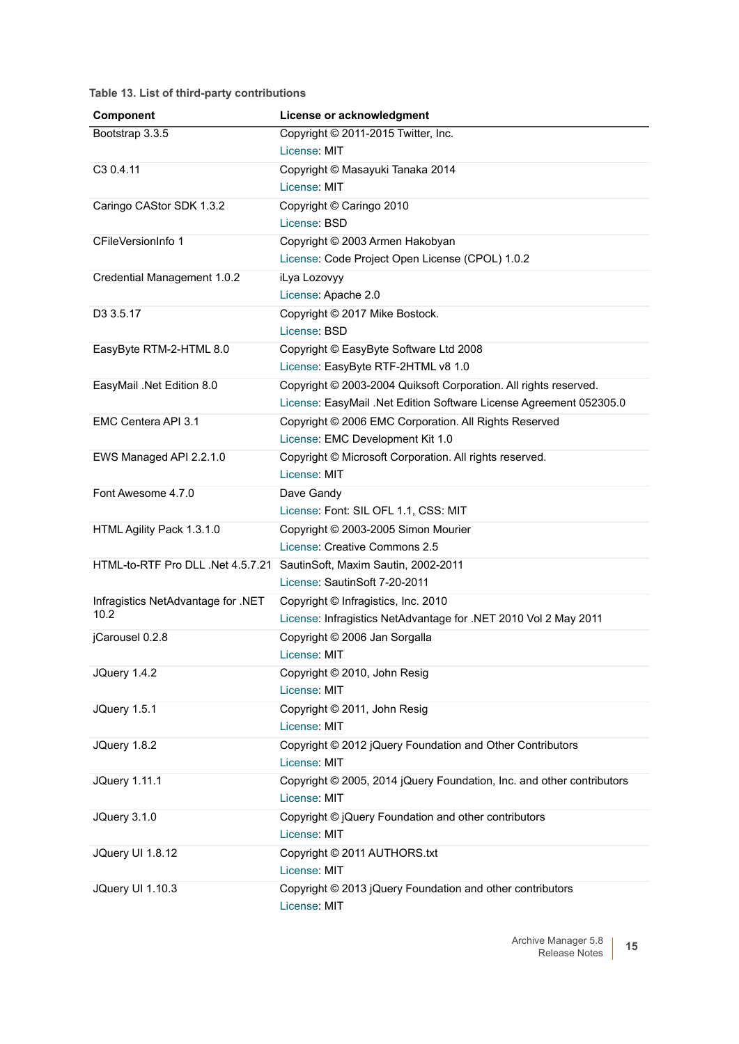**Table 13. List of third-party contributions**

| Component                                  | License or acknowledgment                                             |
|--------------------------------------------|-----------------------------------------------------------------------|
| Bootstrap 3.3.5                            | Copyright © 2011-2015 Twitter, Inc.                                   |
|                                            | License: MIT                                                          |
| C <sub>3</sub> 0.4.11                      | Copyright © Masayuki Tanaka 2014                                      |
|                                            | License: MIT                                                          |
| Caringo CAStor SDK 1.3.2                   | Copyright © Caringo 2010                                              |
|                                            | License: BSD                                                          |
| CFileVersionInfo 1                         | Copyright © 2003 Armen Hakobyan                                       |
|                                            | License: Code Project Open License (CPOL) 1.0.2                       |
| Credential Management 1.0.2                | iLya Lozovyy                                                          |
|                                            | License: Apache 2.0                                                   |
| D3 3.5.17                                  | Copyright © 2017 Mike Bostock.                                        |
|                                            | License: BSD                                                          |
| EasyByte RTM-2-HTML 8.0                    | Copyright © EasyByte Software Ltd 2008                                |
|                                            | License: EasyByte RTF-2HTML v8 1.0                                    |
| EasyMail .Net Edition 8.0                  | Copyright © 2003-2004 Quiksoft Corporation. All rights reserved.      |
|                                            | License: EasyMail .Net Edition Software License Agreement 052305.0    |
| EMC Centera API 3.1                        | Copyright © 2006 EMC Corporation. All Rights Reserved                 |
|                                            | License: EMC Development Kit 1.0                                      |
| EWS Managed API 2.2.1.0                    | Copyright © Microsoft Corporation. All rights reserved.               |
|                                            | License: MIT                                                          |
| Font Awesome 4.7.0                         | Dave Gandy                                                            |
|                                            | License: Font: SIL OFL 1.1, CSS: MIT                                  |
| HTML Agility Pack 1.3.1.0                  | Copyright © 2003-2005 Simon Mourier                                   |
|                                            | License: Creative Commons 2.5                                         |
|                                            | HTML-to-RTF Pro DLL .Net 4.5.7.21 SautinSoft, Maxim Sautin, 2002-2011 |
|                                            | License: SautinSoft 7-20-2011                                         |
| Infragistics NetAdvantage for .NET<br>10.2 | Copyright © Infragistics, Inc. 2010                                   |
|                                            | License: Infragistics NetAdvantage for .NET 2010 Vol 2 May 2011       |
| jCarousel 0.2.8                            | Copyright © 2006 Jan Sorgalla                                         |
|                                            | License: MIT                                                          |
| JQuery 1.4.2                               | Copyright © 2010, John Resig                                          |
|                                            | License: MIT                                                          |
| JQuery 1.5.1                               | Copyright © 2011, John Resig                                          |
|                                            | License: MIT                                                          |
| JQuery 1.8.2                               | Copyright © 2012 jQuery Foundation and Other Contributors             |
|                                            | License: MIT                                                          |
| <b>JQuery 1.11.1</b>                       | Copyright © 2005, 2014 jQuery Foundation, Inc. and other contributors |
|                                            | License: MIT                                                          |
| JQuery 3.1.0                               | Copyright © jQuery Foundation and other contributors                  |
|                                            | License: MIT                                                          |
| JQuery UI 1.8.12                           | Copyright © 2011 AUTHORS.txt                                          |
|                                            | License: MIT                                                          |
| JQuery UI 1.10.3                           | Copyright © 2013 jQuery Foundation and other contributors             |
|                                            | License: MIT                                                          |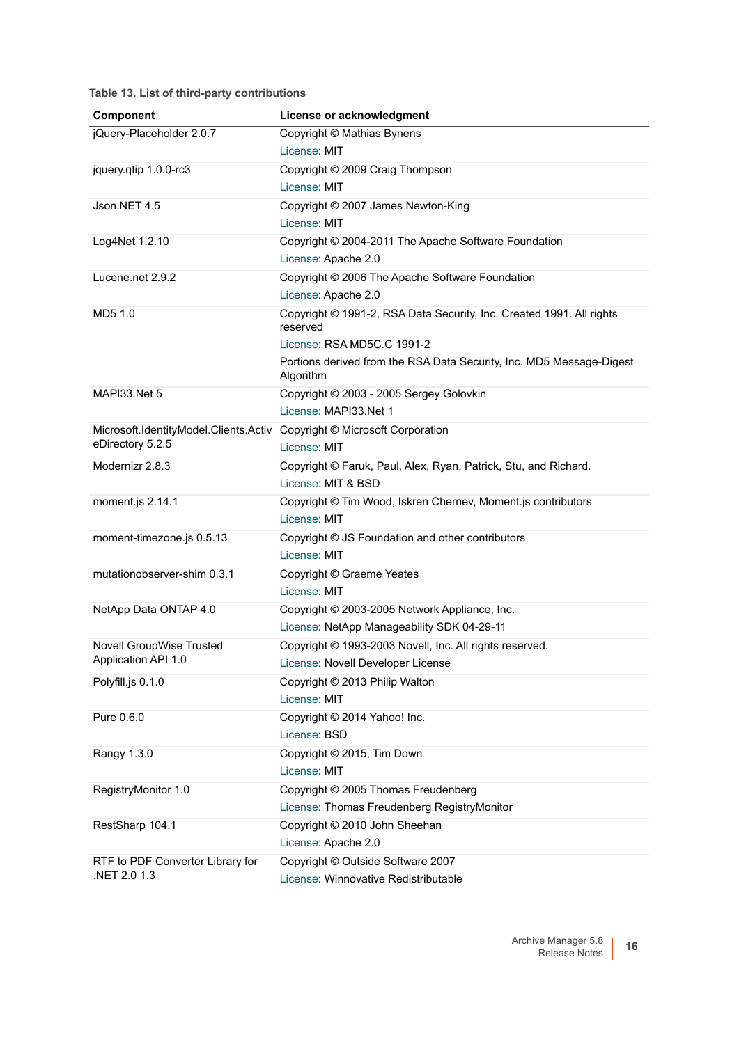**Table 13. List of third-party contributions**

| Component                                                               | License or acknowledgment                                                             |
|-------------------------------------------------------------------------|---------------------------------------------------------------------------------------|
| jQuery-Placeholder 2.0.7                                                | Copyright © Mathias Bynens                                                            |
|                                                                         | License: MIT                                                                          |
| jquery.qtip 1.0.0-rc3                                                   | Copyright © 2009 Craig Thompson                                                       |
|                                                                         | License: MIT                                                                          |
| Json.NET 4.5                                                            | Copyright © 2007 James Newton-King                                                    |
|                                                                         | License: MIT                                                                          |
| Log4Net 1.2.10                                                          | Copyright © 2004-2011 The Apache Software Foundation                                  |
|                                                                         | License: Apache 2.0                                                                   |
| Lucene.net 2.9.2                                                        | Copyright © 2006 The Apache Software Foundation                                       |
|                                                                         | License: Apache 2.0                                                                   |
| MD5 1.0                                                                 | Copyright © 1991-2, RSA Data Security, Inc. Created 1991. All rights<br>reserved      |
|                                                                         | License: RSA MD5C.C 1991-2                                                            |
|                                                                         | Portions derived from the RSA Data Security, Inc. MD5 Message-Digest<br>Algorithm     |
| MAPI33.Net 5                                                            | Copyright © 2003 - 2005 Sergey Golovkin                                               |
|                                                                         | License: MAPI33.Net 1                                                                 |
| Microsoft.IdentityModel.Clients.Activ Copyright © Microsoft Corporation |                                                                                       |
| eDirectory 5.2.5                                                        | License: MIT                                                                          |
| Modernizr 2.8.3                                                         | Copyright © Faruk, Paul, Alex, Ryan, Patrick, Stu, and Richard.<br>License: MIT & BSD |
| moment.js 2.14.1                                                        | Copyright © Tim Wood, Iskren Chernev, Moment.js contributors                          |
|                                                                         | License: MIT                                                                          |
| moment-timezone.js 0.5.13                                               | Copyright © JS Foundation and other contributors                                      |
|                                                                         | License: MIT                                                                          |
| mutationobserver-shim 0.3.1                                             | Copyright © Graeme Yeates                                                             |
|                                                                         | License: MIT                                                                          |
| NetApp Data ONTAP 4.0                                                   | Copyright © 2003-2005 Network Appliance, Inc.                                         |
|                                                                         | License: NetApp Manageability SDK 04-29-11                                            |
| Novell GroupWise Trusted                                                | Copyright © 1993-2003 Novell, Inc. All rights reserved.                               |
| Application API 1.0                                                     | License: Novell Developer License                                                     |
| Polyfill.js 0.1.0                                                       | Copyright © 2013 Philip Walton                                                        |
|                                                                         | License: MIT                                                                          |
| Pure 0.6.0                                                              | Copyright © 2014 Yahoo! Inc.                                                          |
|                                                                         | License: BSD                                                                          |
| Rangy 1.3.0                                                             | Copyright © 2015, Tim Down                                                            |
|                                                                         | License: MIT                                                                          |
| RegistryMonitor 1.0                                                     | Copyright © 2005 Thomas Freudenberg                                                   |
|                                                                         | License: Thomas Freudenberg RegistryMonitor                                           |
| RestSharp 104.1                                                         | Copyright © 2010 John Sheehan                                                         |
|                                                                         | License: Apache 2.0                                                                   |
| RTF to PDF Converter Library for                                        | Copyright © Outside Software 2007                                                     |
| NET 2.0 1.3                                                             | License: Winnovative Redistributable                                                  |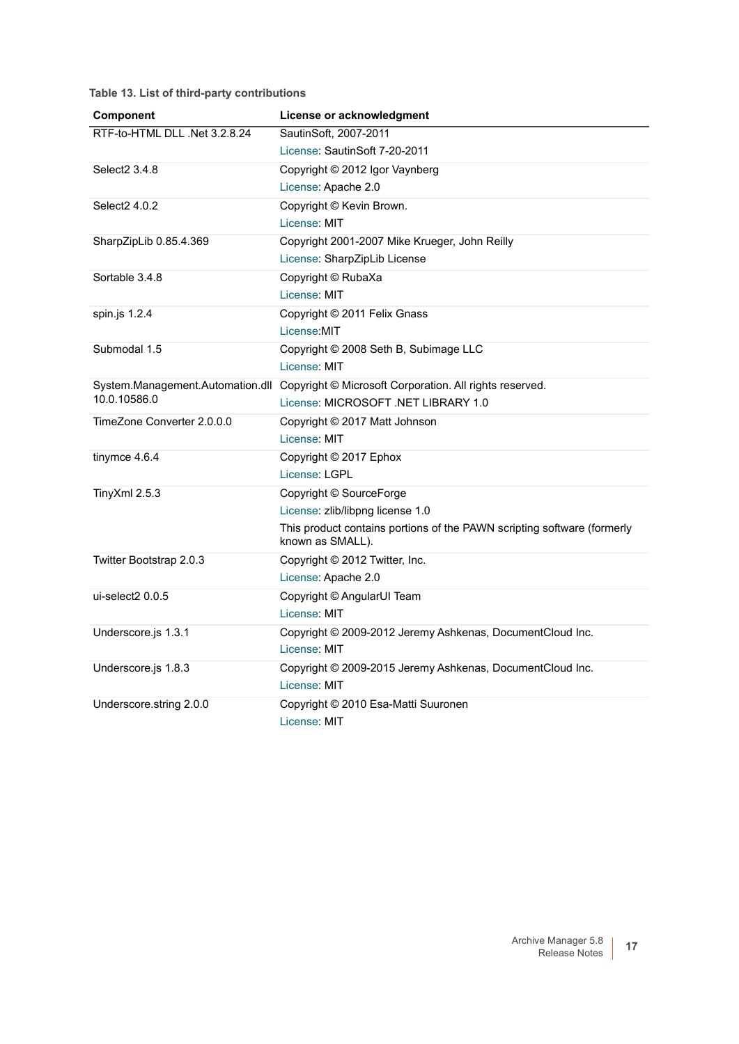**Table 13. List of third-party contributions**

| Component                     | License or acknowledgment                                                                   |
|-------------------------------|---------------------------------------------------------------------------------------------|
| RTF-to-HTML DLL .Net 3.2.8.24 | SautinSoft, 2007-2011                                                                       |
|                               | License: SautinSoft 7-20-2011                                                               |
| Select <sub>2</sub> 3.4.8     | Copyright © 2012 Igor Vaynberg                                                              |
|                               | License: Apache 2.0                                                                         |
| Select2 4.0.2                 | Copyright © Kevin Brown.                                                                    |
|                               | License: MIT                                                                                |
| SharpZipLib 0.85.4.369        | Copyright 2001-2007 Mike Krueger, John Reilly                                               |
|                               | License: SharpZipLib License                                                                |
| Sortable 3.4.8                | Copyright © RubaXa                                                                          |
|                               | License: MIT                                                                                |
| spin.js 1.2.4                 | Copyright © 2011 Felix Gnass                                                                |
|                               | License:MIT                                                                                 |
| Submodal 1.5                  | Copyright © 2008 Seth B, Subimage LLC                                                       |
|                               | License: MIT                                                                                |
|                               | System.Management.Automation.dll Copyright © Microsoft Corporation. All rights reserved.    |
| 10.0.10586.0                  | License: MICROSOFT.NET LIBRARY 1.0                                                          |
| TimeZone Converter 2.0.0.0    | Copyright © 2017 Matt Johnson                                                               |
|                               | License: MIT                                                                                |
| tinymce 4.6.4                 | Copyright © 2017 Ephox                                                                      |
|                               | License: LGPL                                                                               |
| TinyXml 2.5.3                 | Copyright © SourceForge                                                                     |
|                               | License: zlib/libpng license 1.0                                                            |
|                               | This product contains portions of the PAWN scripting software (formerly<br>known as SMALL). |
| Twitter Bootstrap 2.0.3       | Copyright © 2012 Twitter, Inc.                                                              |
|                               | License: Apache 2.0                                                                         |
| ui-select2 0.0.5              | Copyright © AngularUI Team                                                                  |
|                               | License: MIT                                                                                |
| Underscore.js 1.3.1           | Copyright © 2009-2012 Jeremy Ashkenas, DocumentCloud Inc.                                   |
|                               | License: MIT                                                                                |
| Underscore.js 1.8.3           | Copyright © 2009-2015 Jeremy Ashkenas, DocumentCloud Inc.                                   |
|                               | License: MIT                                                                                |
| Underscore.string 2.0.0       | Copyright © 2010 Esa-Matti Suuronen                                                         |
|                               | License: MIT                                                                                |